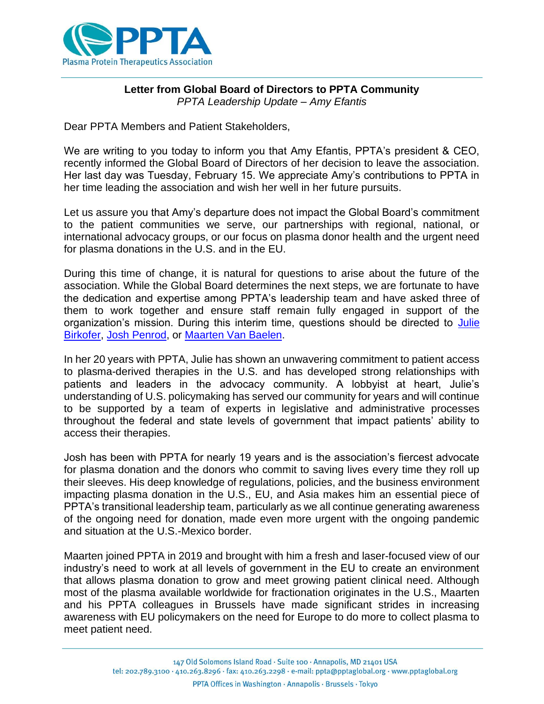

## **Letter from Global Board of Directors to PPTA Community** *PPTA Leadership Update – Amy Efantis*

Dear PPTA Members and Patient Stakeholders,

We are writing to you today to inform you that Amy Efantis, PPTA's president & CEO, recently informed the Global Board of Directors of her decision to leave the association. Her last day was Tuesday, February 15. We appreciate Amy's contributions to PPTA in her time leading the association and wish her well in her future pursuits.

Let us assure you that Amy's departure does not impact the Global Board's commitment to the patient communities we serve, our partnerships with regional, national, or international advocacy groups, or our focus on plasma donor health and the urgent need for plasma donations in the U.S. and in the EU.

During this time of change, it is natural for questions to arise about the future of the association. While the Global Board determines the next steps, we are fortunate to have the dedication and expertise among PPTA's leadership team and have asked three of them to work together and ensure staff remain fully engaged in support of the organization's mission. During this interim time, questions should be directed to Julie [Birkofer,](mailto:jbirkofer@pptaglobal.org) [Josh Penrod,](mailto:jpenrod@pptaglobal.org) or [Maarten Van Baelen.](mailto:mvanbaelen@pptaglobal.org)

In her 20 years with PPTA, Julie has shown an unwavering commitment to patient access to plasma-derived therapies in the U.S. and has developed strong relationships with patients and leaders in the advocacy community. A lobbyist at heart, Julie's understanding of U.S. policymaking has served our community for years and will continue to be supported by a team of experts in legislative and administrative processes throughout the federal and state levels of government that impact patients' ability to access their therapies.

Josh has been with PPTA for nearly 19 years and is the association's fiercest advocate for plasma donation and the donors who commit to saving lives every time they roll up their sleeves. His deep knowledge of regulations, policies, and the business environment impacting plasma donation in the U.S., EU, and Asia makes him an essential piece of PPTA's transitional leadership team, particularly as we all continue generating awareness of the ongoing need for donation, made even more urgent with the ongoing pandemic and situation at the U.S.-Mexico border.

Maarten joined PPTA in 2019 and brought with him a fresh and laser-focused view of our industry's need to work at all levels of government in the EU to create an environment that allows plasma donation to grow and meet growing patient clinical need. Although most of the plasma available worldwide for fractionation originates in the U.S., Maarten and his PPTA colleagues in Brussels have made significant strides in increasing awareness with EU policymakers on the need for Europe to do more to collect plasma to meet patient need.